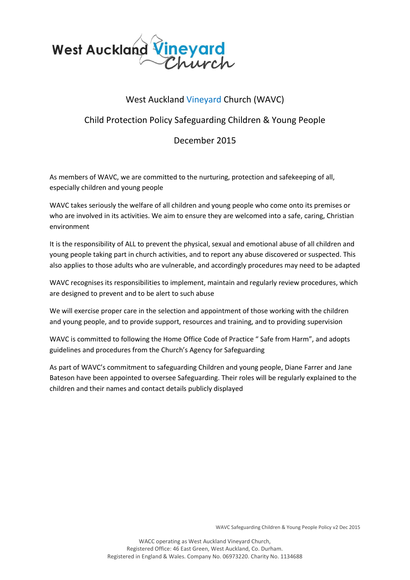

## West Auckland Vineyard Church (WAVC)

## Child Protection Policy Safeguarding Children & Young People

## December 2015

As members of WAVC, we are committed to the nurturing, protection and safekeeping of all, especially children and young people

WAVC takes seriously the welfare of all children and young people who come onto its premises or who are involved in its activities. We aim to ensure they are welcomed into a safe, caring, Christian environment

It is the responsibility of ALL to prevent the physical, sexual and emotional abuse of all children and young people taking part in church activities, and to report any abuse discovered or suspected. This also applies to those adults who are vulnerable, and accordingly procedures may need to be adapted

WAVC recognises its responsibilities to implement, maintain and regularly review procedures, which are designed to prevent and to be alert to such abuse

We will exercise proper care in the selection and appointment of those working with the children and young people, and to provide support, resources and training, and to providing supervision

WAVC is committed to following the Home Office Code of Practice " Safe from Harm", and adopts guidelines and procedures from the Church's Agency for Safeguarding

As part of WAVC's commitment to safeguarding Children and young people, Diane Farrer and Jane Bateson have been appointed to oversee Safeguarding. Their roles will be regularly explained to the children and their names and contact details publicly displayed

WAVC Safeguarding Children & Young People Policy v2 Dec 2015